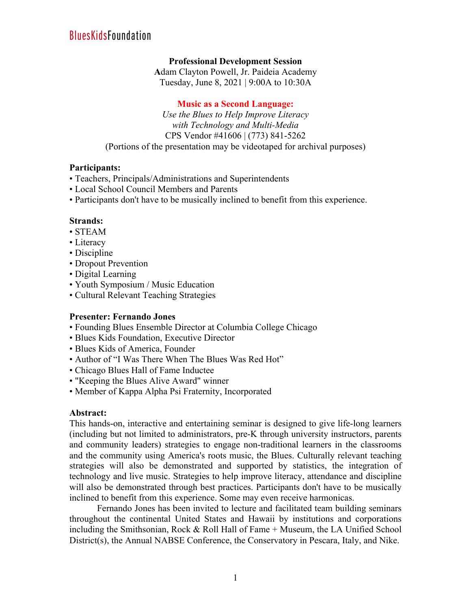## **Professional Development Session**

**A**dam Clayton Powell, Jr. Paideia Academy Tuesday, June 8, 2021 | 9:00A to 10:30A

#### **Music as a Second Language:**

*Use the Blues to Help Improve Literacy with Technology and Multi-Media* CPS Vendor #41606 | (773) 841-5262 (Portions of the presentation may be videotaped for archival purposes)

#### **Participants:**

- Teachers, Principals/Administrations and Superintendents
- Local School Council Members and Parents
- Participants don't have to be musically inclined to benefit from this experience.

## **Strands:**

- STEAM
- Literacy
- Discipline
- Dropout Prevention
- Digital Learning
- Youth Symposium / Music Education
- Cultural Relevant Teaching Strategies

## **Presenter: Fernando Jones**

- Founding Blues Ensemble Director at Columbia College Chicago
- Blues Kids Foundation, Executive Director
- Blues Kids of America, Founder
- Author of "I Was There When The Blues Was Red Hot"
- Chicago Blues Hall of Fame Inductee
- "Keeping the Blues Alive Award" winner
- Member of Kappa Alpha Psi Fraternity, Incorporated

#### **Abstract:**

This hands-on, interactive and entertaining seminar is designed to give life-long learners (including but not limited to administrators, pre-K through university instructors, parents and community leaders) strategies to engage non-traditional learners in the classrooms and the community using America's roots music, the Blues. Culturally relevant teaching strategies will also be demonstrated and supported by statistics, the integration of technology and live music. Strategies to help improve literacy, attendance and discipline will also be demonstrated through best practices. Participants don't have to be musically inclined to benefit from this experience. Some may even receive harmonicas.

Fernando Jones has been invited to lecture and facilitated team building seminars throughout the continental United States and Hawaii by institutions and corporations including the Smithsonian, Rock & Roll Hall of Fame + Museum, the LA Unified School District(s), the Annual NABSE Conference, the Conservatory in Pescara, Italy, and Nike.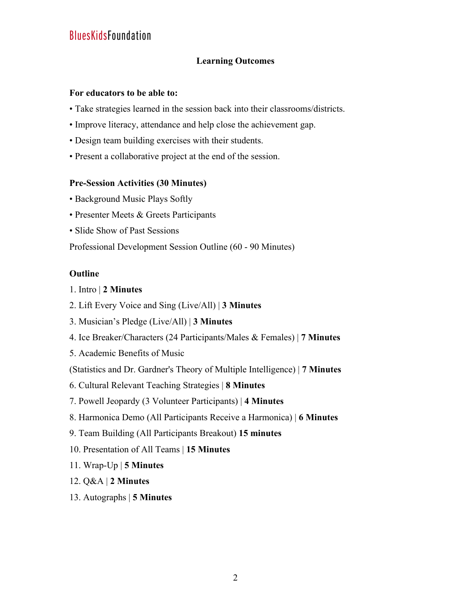# BluesKidsFoundation

## **Learning Outcomes**

### **For educators to be able to:**

- Take strategies learned in the session back into their classrooms/districts.
- Improve literacy, attendance and help close the achievement gap.
- Design team building exercises with their students.
- Present a collaborative project at the end of the session.

#### **Pre-Session Activities (30 Minutes)**

- Background Music Plays Softly
- Presenter Meets & Greets Participants
- Slide Show of Past Sessions

Professional Development Session Outline (60 - 90 Minutes)

## **Outline**

- 1. Intro | **2 Minutes**
- 2. Lift Every Voice and Sing (Live/All) | **3 Minutes**
- 3. Musician's Pledge (Live/All) | **3 Minutes**
- 4. Ice Breaker/Characters (24 Participants/Males & Females) | **7 Minutes**
- 5. Academic Benefits of Music

(Statistics and Dr. Gardner's Theory of Multiple Intelligence) | **7 Minutes**

- 6. Cultural Relevant Teaching Strategies | **8 Minutes**
- 7. Powell Jeopardy (3 Volunteer Participants) | **4 Minutes**
- 8. Harmonica Demo (All Participants Receive a Harmonica) | **6 Minutes**
- 9. Team Building (All Participants Breakout) **15 minutes**
- 10. Presentation of All Teams | **15 Minutes**
- 11. Wrap-Up | **5 Minutes**
- 12. Q&A | **2 Minutes**
- 13. Autographs | **5 Minutes**